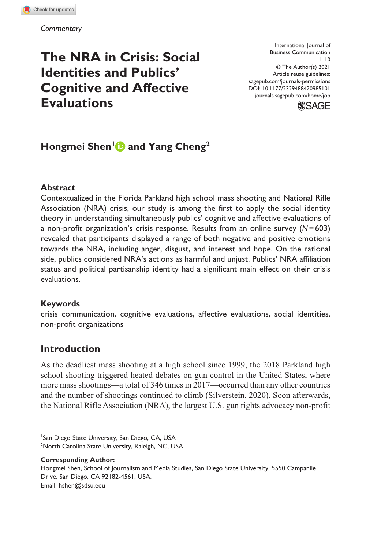# **The NRA in Crisis: Social Identities and Publics' Cognitive and Affective Evaluations**

DOI: 10.1177/2329488420985101 International Journal of Business Communication  $1 - 10$ © The Author(s) 2021 Article reuse guidelines: [sagepub.com/journals-permissions](https://us.sagepub.com/en-us/journals-permissions) [journals.sagepub.com/home/job](https://journals.sagepub.com/home/job)



## **Hongmei Shen<sup>1</sup> and Yang Cheng<sup>2</sup>**

### **Abstract**

Contextualized in the Florida Parkland high school mass shooting and National Rifle Association (NRA) crisis, our study is among the first to apply the social identity theory in understanding simultaneously publics' cognitive and affective evaluations of a non-profit organization's crisis response. Results from an online survey (*N*=603) revealed that participants displayed a range of both negative and positive emotions towards the NRA, including anger, disgust, and interest and hope. On the rational side, publics considered NRA's actions as harmful and unjust. Publics' NRA affiliation status and political partisanship identity had a significant main effect on their crisis evaluations.

#### **Keywords**

crisis communication, cognitive evaluations, affective evaluations, social identities, non-profit organizations

### **Introduction**

As the deadliest mass shooting at a high school since 1999, the 2018 Parkland high school shooting triggered heated debates on gun control in the United States, where more mass shootings—a total of 346 times in 2017—occurred than any other countries and the number of shootings continued to climb (Silverstein, 2020). Soon afterwards, the National Rifle Association (NRA), the largest U.S. gun rights advocacy non-profit

#### **Corresponding Author:**

Hongmei Shen, School of Journalism and Media Studies, San Diego State University, 5550 Campanile Drive, San Diego, CA 92182-4561, USA. Email: [hshen@sdsu.edu](mailto:hshen@sdsu.edu)

<sup>1</sup> San Diego State University, San Diego, CA, USA <sup>2</sup>North Carolina State University, Raleigh, NC, USA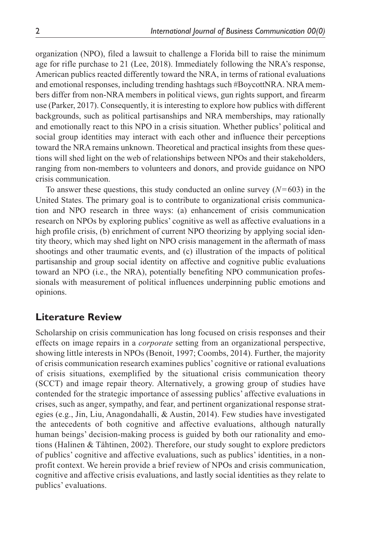organization (NPO), filed a lawsuit to challenge a Florida bill to raise the minimum age for rifle purchase to 21 (Lee, 2018). Immediately following the NRA's response, American publics reacted differently toward the NRA, in terms of rational evaluations and emotional responses, including trending hashtags such #BoycottNRA. NRA members differ from non-NRA members in political views, gun rights support, and firearm use (Parker, 2017). Consequently, it is interesting to explore how publics with different backgrounds, such as political partisanships and NRA memberships, may rationally and emotionally react to this NPO in a crisis situation. Whether publics' political and social group identities may interact with each other and influence their perceptions toward the NRA remains unknown. Theoretical and practical insights from these questions will shed light on the web of relationships between NPOs and their stakeholders, ranging from non-members to volunteers and donors, and provide guidance on NPO crisis communication.

To answer these questions, this study conducted an online survey (*N*=603) in the United States. The primary goal is to contribute to organizational crisis communication and NPO research in three ways: (a) enhancement of crisis communication research on NPOs by exploring publics' cognitive as well as affective evaluations in a high profile crisis, (b) enrichment of current NPO theorizing by applying social identity theory, which may shed light on NPO crisis management in the aftermath of mass shootings and other traumatic events, and (c) illustration of the impacts of political partisanship and group social identity on affective and cognitive public evaluations toward an NPO (i.e., the NRA), potentially benefiting NPO communication professionals with measurement of political influences underpinning public emotions and opinions.

### **Literature Review**

Scholarship on crisis communication has long focused on crisis responses and their effects on image repairs in a *corporate* setting from an organizational perspective, showing little interests in NPOs (Benoit, 1997; Coombs, 2014). Further, the majority of crisis communication research examines publics' cognitive or rational evaluations of crisis situations, exemplified by the situational crisis communication theory (SCCT) and image repair theory. Alternatively, a growing group of studies have contended for the strategic importance of assessing publics' affective evaluations in crises, such as anger, sympathy, and fear, and pertinent organizational response strategies (e.g., Jin, Liu, Anagondahalli, & Austin, 2014). Few studies have investigated the antecedents of both cognitive and affective evaluations, although naturally human beings' decision-making process is guided by both our rationality and emotions (Halinen & Tähtinen, 2002). Therefore, our study sought to explore predictors of publics' cognitive and affective evaluations, such as publics' identities, in a nonprofit context. We herein provide a brief review of NPOs and crisis communication, cognitive and affective crisis evaluations, and lastly social identities as they relate to publics' evaluations.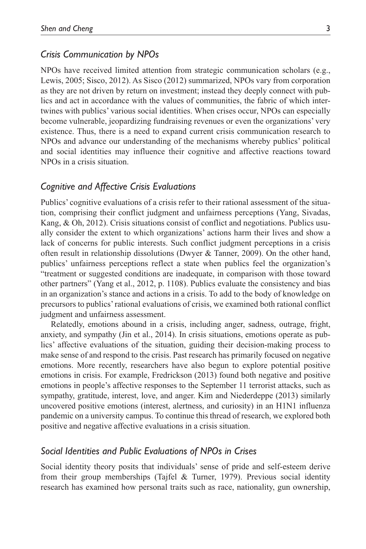#### *Crisis Communication by NPOs*

NPOs have received limited attention from strategic communication scholars (e.g., Lewis, 2005; Sisco, 2012). As Sisco (2012) summarized, NPOs vary from corporation as they are not driven by return on investment; instead they deeply connect with publics and act in accordance with the values of communities, the fabric of which intertwines with publics' various social identities. When crises occur, NPOs can especially become vulnerable, jeopardizing fundraising revenues or even the organizations' very existence. Thus, there is a need to expand current crisis communication research to NPOs and advance our understanding of the mechanisms whereby publics' political and social identities may influence their cognitive and affective reactions toward NPOs in a crisis situation.

### *Cognitive and Affective Crisis Evaluations*

Publics' cognitive evaluations of a crisis refer to their rational assessment of the situation, comprising their conflict judgment and unfairness perceptions (Yang, Sivadas, Kang, & Oh, 2012). Crisis situations consist of conflict and negotiations. Publics usually consider the extent to which organizations' actions harm their lives and show a lack of concerns for public interests. Such conflict judgment perceptions in a crisis often result in relationship dissolutions (Dwyer & Tanner, 2009). On the other hand, publics' unfairness perceptions reflect a state when publics feel the organization's "treatment or suggested conditions are inadequate, in comparison with those toward other partners" (Yang et al., 2012, p. 1108). Publics evaluate the consistency and bias in an organization's stance and actions in a crisis. To add to the body of knowledge on precursors to publics' rational evaluations of crisis, we examined both rational conflict judgment and unfairness assessment.

Relatedly, emotions abound in a crisis, including anger, sadness, outrage, fright, anxiety, and sympathy (Jin et al., 2014). In crisis situations, emotions operate as publics' affective evaluations of the situation, guiding their decision-making process to make sense of and respond to the crisis. Past research has primarily focused on negative emotions. More recently, researchers have also begun to explore potential positive emotions in crisis. For example, Fredrickson (2013) found both negative and positive emotions in people's affective responses to the September 11 terrorist attacks, such as sympathy, gratitude, interest, love, and anger. Kim and Niederdeppe (2013) similarly uncovered positive emotions (interest, alertness, and curiosity) in an H1N1 influenza pandemic on a university campus. To continue this thread of research, we explored both positive and negative affective evaluations in a crisis situation.

#### *Social Identities and Public Evaluations of NPOs in Crises*

Social identity theory posits that individuals' sense of pride and self-esteem derive from their group memberships (Tajfel & Turner, 1979). Previous social identity research has examined how personal traits such as race, nationality, gun ownership,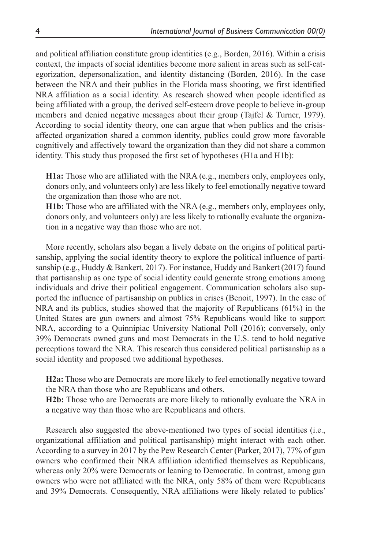and political affiliation constitute group identities (e.g., Borden, 2016). Within a crisis context, the impacts of social identities become more salient in areas such as self-categorization, depersonalization, and identity distancing (Borden, 2016). In the case between the NRA and their publics in the Florida mass shooting, we first identified NRA affiliation as a social identity. As research showed when people identified as being affiliated with a group, the derived self-esteem drove people to believe in-group members and denied negative messages about their group (Tajfel & Turner, 1979). According to social identity theory, one can argue that when publics and the crisisaffected organization shared a common identity, publics could grow more favorable cognitively and affectively toward the organization than they did not share a common identity. This study thus proposed the first set of hypotheses (H1a and H1b):

**H1a:** Those who are affiliated with the NRA (e.g., members only, employees only, donors only, and volunteers only) are less likely to feel emotionally negative toward the organization than those who are not.

**H1b:** Those who are affiliated with the NRA (e.g., members only, employees only, donors only, and volunteers only) are less likely to rationally evaluate the organization in a negative way than those who are not.

More recently, scholars also began a lively debate on the origins of political partisanship, applying the social identity theory to explore the political influence of partisanship (e.g., Huddy & Bankert, 2017). For instance, Huddy and Bankert (2017) found that partisanship as one type of social identity could generate strong emotions among individuals and drive their political engagement. Communication scholars also supported the influence of partisanship on publics in crises (Benoit, 1997). In the case of NRA and its publics, studies showed that the majority of Republicans (61%) in the United States are gun owners and almost 75% Republicans would like to support NRA, according to a Quinnipiac University National Poll (2016); conversely, only 39% Democrats owned guns and most Democrats in the U.S. tend to hold negative perceptions toward the NRA. This research thus considered political partisanship as a social identity and proposed two additional hypotheses.

**H2a:** Those who are Democrats are more likely to feel emotionally negative toward the NRA than those who are Republicans and others.

**H2b:** Those who are Democrats are more likely to rationally evaluate the NRA in a negative way than those who are Republicans and others.

Research also suggested the above-mentioned two types of social identities (i.e., organizational affiliation and political partisanship) might interact with each other. According to a survey in 2017 by the Pew Research Center (Parker, 2017), 77% of gun owners who confirmed their NRA affiliation identified themselves as Republicans, whereas only 20% were Democrats or leaning to Democratic. In contrast, among gun owners who were not affiliated with the NRA, only 58% of them were Republicans and 39% Democrats. Consequently, NRA affiliations were likely related to publics'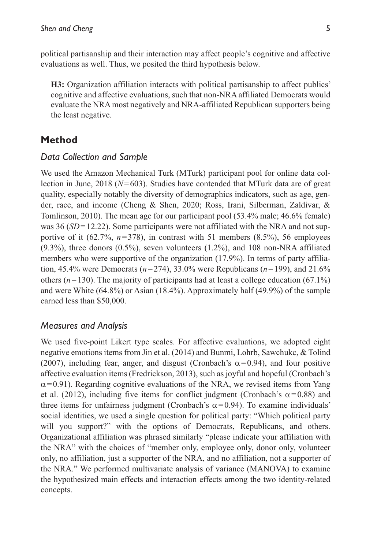political partisanship and their interaction may affect people's cognitive and affective evaluations as well. Thus, we posited the third hypothesis below.

**H3:** Organization affiliation interacts with political partisanship to affect publics' cognitive and affective evaluations, such that non-NRA affiliated Democrats would evaluate the NRA most negatively and NRA-affiliated Republican supporters being the least negative.

### **Method**

### *Data Collection and Sample*

We used the Amazon Mechanical Turk (MTurk) participant pool for online data collection in June, 2018 (*N*=603). Studies have contended that MTurk data are of great quality, especially notably the diversity of demographics indicators, such as age, gender, race, and income (Cheng & Shen, 2020; Ross, Irani, Silberman, Zaldivar, & Tomlinson, 2010). The mean age for our participant pool (53.4% male; 46.6% female) was 36 (*SD* = 12.22). Some participants were not affiliated with the NRA and not supportive of it  $(62.7\%, n=378)$ , in contrast with 51 members  $(8.5\%)$ , 56 employees  $(9.3\%)$ , three donors  $(0.5\%)$ , seven volunteers  $(1.2\%)$ , and 108 non-NRA affiliated members who were supportive of the organization (17.9%). In terms of party affiliation, 45.4% were Democrats (*n*=274), 33.0% were Republicans (*n*=199), and 21.6% others  $(n=130)$ . The majority of participants had at least a college education (67.1%) and were White (64.8%) or Asian (18.4%). Approximately half (49.9%) of the sample earned less than \$50,000.

### *Measures and Analysis*

We used five-point Likert type scales. For affective evaluations, we adopted eight negative emotions items from Jin et al. (2014) and Bunmi, Lohrb, Sawchukc, & Tolind (2007), including fear, anger, and disgust (Cronbach's  $\alpha$ =0.94), and four positive affective evaluation items (Fredrickson, 2013), such as joyful and hopeful (Cronbach's  $\alpha$ =0.91). Regarding cognitive evaluations of the NRA, we revised items from Yang et al. (2012), including five items for conflict judgment (Cronbach's  $\alpha$ =0.88) and three items for unfairness judgment (Cronbach's  $\alpha$ =0.94). To examine individuals' social identities, we used a single question for political party: "Which political party will you support?" with the options of Democrats, Republicans, and others. Organizational affiliation was phrased similarly "please indicate your affiliation with the NRA" with the choices of "member only, employee only, donor only, volunteer only, no affiliation, just a supporter of the NRA, and no affiliation, not a supporter of the NRA." We performed multivariate analysis of variance (MANOVA) to examine the hypothesized main effects and interaction effects among the two identity-related concepts.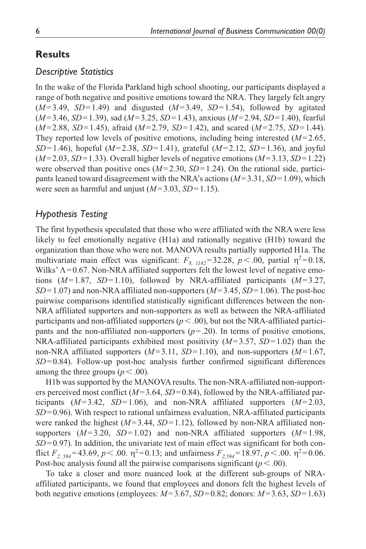### **Results**

### *Descriptive Statistics*

In the wake of the Florida Parkland high school shooting, our participants displayed a range of both negative and positive emotions toward the NRA. They largely felt angry  $(M=3.49, SD=1.49)$  and disgusted  $(M=3.49, SD=1.54)$ , followed by agitated (*M*=3.46, *SD*=1.39), sad (*M*=3.25, *SD*=1.43), anxious (*M*=2.94, *SD*=1.40), fearful (*M*=2.88, *SD*=1.45), afraid (*M*=2.79, *SD*=1.42), and scared (*M*=2.75, *SD*=1.44). They reported low levels of positive emotions, including being interested (*M*=2.65, *SD*=1.46), hopeful (*M*=2.38, *SD*=1.41), grateful (*M*=2.12, *SD*=1.36), and joyful (*M*=2.03, *SD*=1.33). Overall higher levels of negative emotions (*M*=3.13, *SD*=1.22) were observed than positive ones (*M*=2.30, *SD*=1.24). On the rational side, participants leaned toward disagreement with the NRA's actions (*M*=3.31, *SD*=1.09), which were seen as harmful and unjust (*M*=3.03, *SD*=1.15).

### *Hypothesis Testing*

The first hypothesis speculated that those who were affiliated with the NRA were less likely to feel emotionally negative (H1a) and rationally negative (H1b) toward the organization than those who were not. MANOVA results partially supported H1a. The multivariate main effect was significant:  $F_{8, 1182} = 32.28$ ,  $p < .00$ , partial  $\eta^2 = 0.18$ , Wilks' Λ=0.67. Non-NRA affiliated supporters felt the lowest level of negative emotions (*M*=1.87, *SD*=1.10), followed by NRA-affiliated participants (*M*=3.27, *SD*=1.07) and non-NRA affiliated non-supporters (*M*=3.45, *SD*=1.06). The post-hoc pairwise comparisons identified statistically significant differences between the non-NRA affiliated supporters and non-supporters as well as between the NRA-affiliated participants and non-affiliated supporters ( $p < .00$ ), but not the NRA-affiliated participants and the non-affiliated non-supporters  $(p=.20)$ . In terms of positive emotions, NRA-affiliated participants exhibited most positivity (*M*=3.57, *SD*=1.02) than the non-NRA affiliated supporters (*M*=3.11, *SD*=1.10), and non-supporters (*M*=1.67, *SD*=0.84). Follow-up post-hoc analysis further confirmed significant differences among the three groups  $(p < .00)$ .

H1b was supported by the MANOVA results. The non-NRA-affiliated non-supporters perceived most conflict  $(M=3.64, SD=0.84)$ , followed by the NRA-affiliated participants (*M*=3.42, *SD*=1.06), and non-NRA affiliated supporters (*M*=2.03, *SD*=0.96). With respect to rational unfairness evaluation, NRA-affiliated participants were ranked the highest (*M*=3.44, *SD*=1.12), followed by non-NRA affiliated nonsupporters  $(M=3.20, SD=1.02)$  and non-NRA affiliated supporters  $(M=1.98,$ *SD*=0.97). In addition, the univariate test of main effect was significant for both conflict  $F_{2,594}$ =43.69,  $p < .00$ .  $\eta^2$ =0.13; and unfairness  $F_{2,594}$ =18.97,  $p < .00$ .  $\eta^2$ =0.06. Post-hoc analysis found all the pairwise comparisons significant  $(p < .00)$ .

To take a closer and more nuanced look at the different sub-groups of NRAaffiliated participants, we found that employees and donors felt the highest levels of both negative emotions (employees: *M*=3.67, *SD*=0.82; donors: *M*=3.63, *SD*=1.63)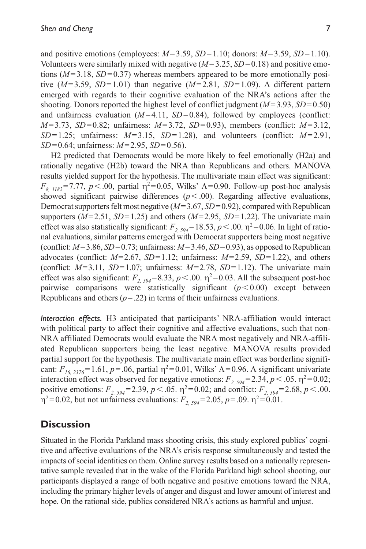and positive emotions (employees: *M*=3.59, *SD*=1.10; donors: *M*=3.59, *SD*=1.10). Volunteers were similarly mixed with negative  $(M=3.25, SD=0.18)$  and positive emotions  $(M=3.18, SD=0.37)$  whereas members appeared to be more emotionally positive  $(M=3.59, SD=1.01)$  than negative  $(M=2.81, SD=1.09)$ . A different pattern emerged with regards to their cognitive evaluation of the NRA's actions after the shooting. Donors reported the highest level of conflict judgment (*M*=3.93, *SD*=0.50) and unfairness evaluation  $(M=4.11, SD=0.84)$ , followed by employees (conflict: *M*=3.73, *SD*=0.82; unfairness: *M*=3.72, *SD*=0.93), members (conflict: *M*=3.12,  $SD=1.25$ ; unfairness:  $M=3.15$ ,  $SD=1.28$ ), and volunteers (conflict:  $M=2.91$ , *SD*=0.64; unfairness: *M*=2.95, *SD*=0.56).

H2 predicted that Democrats would be more likely to feel emotionally (H2a) and rationally negative (H2b) toward the NRA than Republicans and others. MANOVA results yielded support for the hypothesis. The multivariate main effect was significant: *F<sub>8, 1182</sub>*=7.77, *p* <.00, partial  $η$ <sup>2</sup>=0.05, Wilks' Λ=0.90. Follow-up post-hoc analysis showed significant pairwise differences  $(p < .00)$ . Regarding affective evaluations, Democrat supporters felt most negative (*M*=3.67, *SD*=0.92), compared with Republican supporters  $(M=2.51, SD=1.25)$  and others  $(M=2.95, SD=1.22)$ . The univariate main effect was also statistically significant:  $F_{2, 594}$  = 18.53,  $p < .00$ .  $\eta^2$  = 0.06. In light of rational evaluations, similar patterns emerged with Democrat supporters being most negative (conflict:  $M=3.86$ ,  $SD=0.73$ ; unfairness:  $M=3.46$ ,  $SD=0.93$ ), as opposed to Republican advocates (conflict: *M*=2.67, *SD*=1.12; unfairness: *M*=2.59, *SD*=1.22), and others (conflict:  $M=3.11$ ,  $SD=1.07$ ; unfairness:  $M=2.78$ ,  $SD=1.12$ ). The univariate main effect was also significant:  $F_{2, 594} = 8.33$ ,  $p < .00$ .  $\eta^2 = 0.03$ . All the subsequent post-hoc pairwise comparisons were statistically significant  $(p<0.00)$  except between Republicans and others  $(p=.22)$  in terms of their unfairness evaluations.

*Interaction effects.* H3 anticipated that participants' NRA-affiliation would interact with political party to affect their cognitive and affective evaluations, such that non-NRA affiliated Democrats would evaluate the NRA most negatively and NRA-affiliated Republican supporters being the least negative. MANOVA results provided partial support for the hypothesis. The multivariate main effect was borderline significant:  $F_{16, 2376}$ =1.61,  $p$ =.06, partial  $\eta$ <sup>2</sup>=0.01, Wilks'  $\Lambda$ =0.96. A significant univariate interaction effect was observed for negative emotions:  $F_{2, 594}$ =2.34,  $p < .05$ .  $\eta^2$ =0.02; positive emotions:  $F_{2, 594} = 2.39$ ,  $p < .05$ .  $\eta^2 = 0.02$ ; and conflict:  $F_{2, 594} = 2.68$ ,  $p < .00$ .  $η<sup>2</sup>=0.02$ , but not unfairness evaluations: *F<sub>2, 594</sub>*=2.05, *p*=.09.  $η<sup>2</sup>=0.01$ .

### **Discussion**

Situated in the Florida Parkland mass shooting crisis, this study explored publics' cognitive and affective evaluations of the NRA's crisis response simultaneously and tested the impacts of social identities on them. Online survey results based on a nationally representative sample revealed that in the wake of the Florida Parkland high school shooting, our participants displayed a range of both negative and positive emotions toward the NRA, including the primary higher levels of anger and disgust and lower amount of interest and hope. On the rational side, publics considered NRA's actions as harmful and unjust.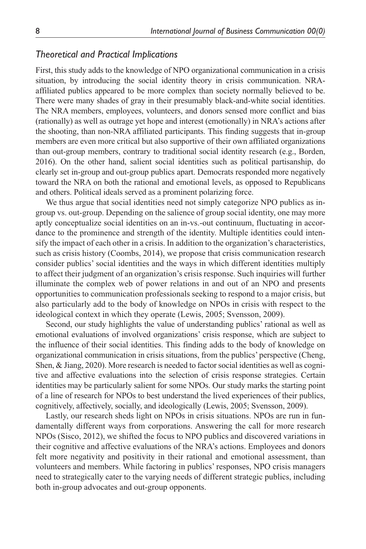#### *Theoretical and Practical Implications*

First, this study adds to the knowledge of NPO organizational communication in a crisis situation, by introducing the social identity theory in crisis communication. NRAaffiliated publics appeared to be more complex than society normally believed to be. There were many shades of gray in their presumably black-and-white social identities. The NRA members, employees, volunteers, and donors sensed more conflict and bias (rationally) as well as outrage yet hope and interest (emotionally) in NRA's actions after the shooting, than non-NRA affiliated participants. This finding suggests that in-group members are even more critical but also supportive of their own affiliated organizations than out-group members, contrary to traditional social identity research (e.g., Borden, 2016). On the other hand, salient social identities such as political partisanship, do clearly set in-group and out-group publics apart. Democrats responded more negatively toward the NRA on both the rational and emotional levels, as opposed to Republicans and others. Political ideals served as a prominent polarizing force.

We thus argue that social identities need not simply categorize NPO publics as ingroup vs. out-group. Depending on the salience of group social identity, one may more aptly conceptualize social identities on an in-vs.-out continuum, fluctuating in accordance to the prominence and strength of the identity. Multiple identities could intensify the impact of each other in a crisis. In addition to the organization's characteristics, such as crisis history (Coombs, 2014), we propose that crisis communication research consider publics' social identities and the ways in which different identities multiply to affect their judgment of an organization's crisis response. Such inquiries will further illuminate the complex web of power relations in and out of an NPO and presents opportunities to communication professionals seeking to respond to a major crisis, but also particularly add to the body of knowledge on NPOs in crisis with respect to the ideological context in which they operate (Lewis, 2005; Svensson, 2009).

Second, our study highlights the value of understanding publics' rational as well as emotional evaluations of involved organizations' crisis response, which are subject to the influence of their social identities. This finding adds to the body of knowledge on organizational communication in crisis situations, from the publics' perspective (Cheng, Shen, & Jiang, 2020). More research is needed to factor social identities as well as cognitive and affective evaluations into the selection of crisis response strategies. Certain identities may be particularly salient for some NPOs. Our study marks the starting point of a line of research for NPOs to best understand the lived experiences of their publics, cognitively, affectively, socially, and ideologically (Lewis, 2005; Svensson, 2009).

Lastly, our research sheds light on NPOs in crisis situations. NPOs are run in fundamentally different ways from corporations. Answering the call for more research NPOs (Sisco, 2012), we shifted the focus to NPO publics and discovered variations in their cognitive and affective evaluations of the NRA's actions. Employees and donors felt more negativity and positivity in their rational and emotional assessment, than volunteers and members. While factoring in publics' responses, NPO crisis managers need to strategically cater to the varying needs of different strategic publics, including both in-group advocates and out-group opponents.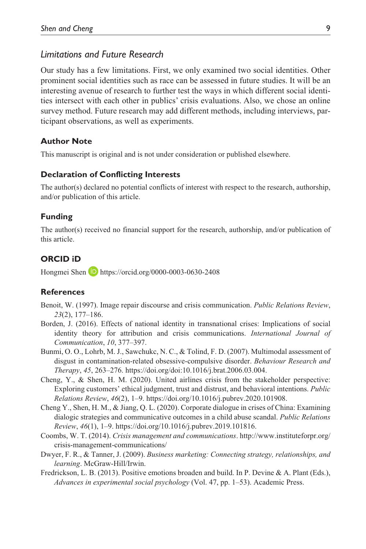### *Limitations and Future Research*

Our study has a few limitations. First, we only examined two social identities. Other prominent social identities such as race can be assessed in future studies. It will be an interesting avenue of research to further test the ways in which different social identities intersect with each other in publics' crisis evaluations. Also, we chose an online survey method. Future research may add different methods, including interviews, participant observations, as well as experiments.

#### **Author Note**

This manuscript is original and is not under consideration or published elsewhere.

#### **Declaration of Conflicting Interests**

The author(s) declared no potential conflicts of interest with respect to the research, authorship, and/or publication of this article.

#### **Funding**

The author(s) received no financial support for the research, authorship, and/or publication of this article.

#### **ORCID iD**

Hongmei Shen **b** <https://orcid.org/0000-0003-0630-2408>

#### **References**

- Benoit, W. (1997). Image repair discourse and crisis communication. *Public Relations Review*, *23*(2), 177–186.
- Borden, J. (2016). Effects of national identity in transnational crises: Implications of social identity theory for attribution and crisis communications. *International Journal of Communication*, *10*, 377–397.
- Bunmi, O. O., Lohrb, M. J., Sawchukc, N. C., & Tolind, F. D. (2007). Multimodal assessment of disgust in contamination-related obsessive-compulsive disorder. *Behaviour Research and Therapy*, *45*, 263–276. <https://doi.org/doi:10.1016/j.brat.2006.03.004>.
- Cheng, Y., & Shen, H. M. (2020). United airlines crisis from the stakeholder perspective: Exploring customers' ethical judgment, trust and distrust, and behavioral intentions. *Public Relations Review*, *46*(2), 1–9. [https://doi.org/10.1016/j.pubrev.2020.101908.](https://doi.org/10.1016/j.pubrev.2020.101908)
- Cheng Y., Shen, H. M., & Jiang, Q. L. (2020). Corporate dialogue in crises of China: Examining dialogic strategies and communicative outcomes in a child abuse scandal. *Public Relations Review*, *46*(1), 1–9. [https://doi.org/10.1016/j.pubrev.2019.101816.](https://doi.org/10.1016/j.pubrev.2019.101816)
- Coombs, W. T. (2014). *Crisis management and communications*. [http://www.instituteforpr.org/](http://www.instituteforpr.org/crisis-management-communications/) [crisis-management-communications/](http://www.instituteforpr.org/crisis-management-communications/)
- Dwyer, F. R., & Tanner, J. (2009). *Business marketing: Connecting strategy, relationships, and learning*. McGraw-Hill/Irwin.
- Fredrickson, L. B. (2013). Positive emotions broaden and build. In P. Devine & A. Plant (Eds.), *Advances in experimental social psychology* (Vol. 47, pp. 1–53). Academic Press.